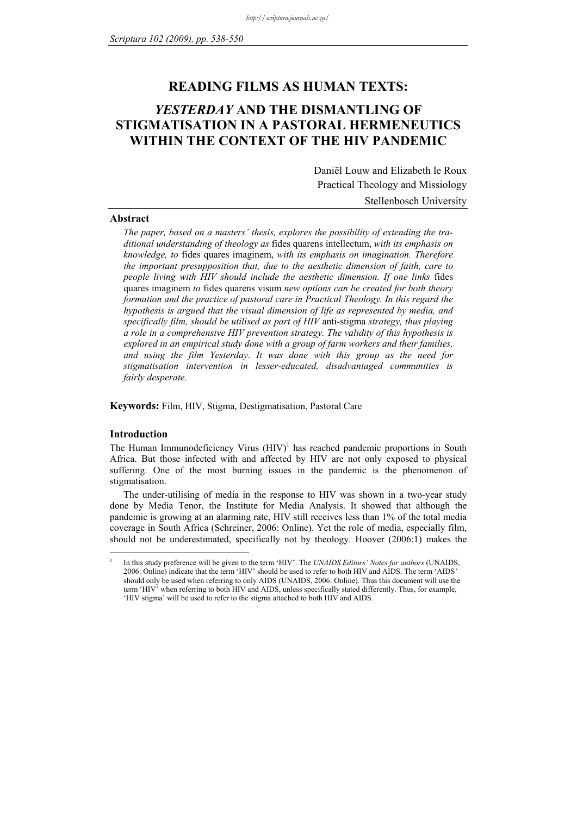## **READING FILMS AS HUMAN TEXTS:**

# *YESTERDAY* **AND THE DISMANTLING OF STIGMATISATION IN A PASTORAL HERMENEUTICS WITHIN THE CONTEXT OF THE HIV PANDEMIC**

Daniël Louw and Elizabeth le Roux Practical Theology and Missiology Stellenbosch University

#### **Abstract**

*The paper, based on a masters' thesis, explores the possibility of extending the traditional understanding of theology as* fides quarens intellectum, *with its emphasis on knowledge, to* fides quares imaginem, *with its emphasis on imagination. Therefore the important presupposition that, due to the aesthetic dimension of faith, care to people living with HIV should include the aesthetic dimension. If one links* fides quares imaginem *to* fides quarens visum *new options can be created for both theory formation and the practice of pastoral care in Practical Theology. In this regard the hypothesis is argued that the visual dimension of life as represented by media, and specifically film, should be utilised as part of HIV* anti-stigma *strategy, thus playing a role in a comprehensive HIV prevention strategy. The validity of this hypothesis is explored in an empirical study done with a group of farm workers and their families, and using the film Yesterday*. *It was done with this group as the need for stigmatisation intervention in lesser-educated, disadvantaged communities is fairly desperate.*

**Keywords:** Film, HIV, Stigma, Destigmatisation, Pastoral Care

#### **Introduction**

<u>.</u> 1

The Human Immunodeficiency Virus  $(HIV)^1$  has reached pandemic proportions in South Africa. But those infected with and affected by HIV are not only exposed to physical suffering. One of the most burning issues in the pandemic is the phenomenon of stigmatisation.

The under-utilising of media in the response to HIV was shown in a two-year study done by Media Tenor, the Institute for Media Analysis. It showed that although the pandemic is growing at an alarming rate, HIV still receives less than 1% of the total media coverage in South Africa (Schreiner, 2006: Online). Yet the role of media, especially film, should not be underestimated, specifically not by theology. Hoover (2006:1) makes the

In this study preference will be given to the term 'HIV'. The *UNAIDS Editors' Notes for authors* (UNAIDS, 2006: Online) indicate that the term 'HIV' should be used to refer to both HIV and AIDS. The term 'AIDS' should only be used when referring to only AIDS (UNAIDS, 2006: Online). Thus this document will use the term 'HIV' when referring to both HIV and AIDS, unless specifically stated differently. Thus, for example, 'HIV stigma' will be used to refer to the stigma attached to both HIV and AIDS.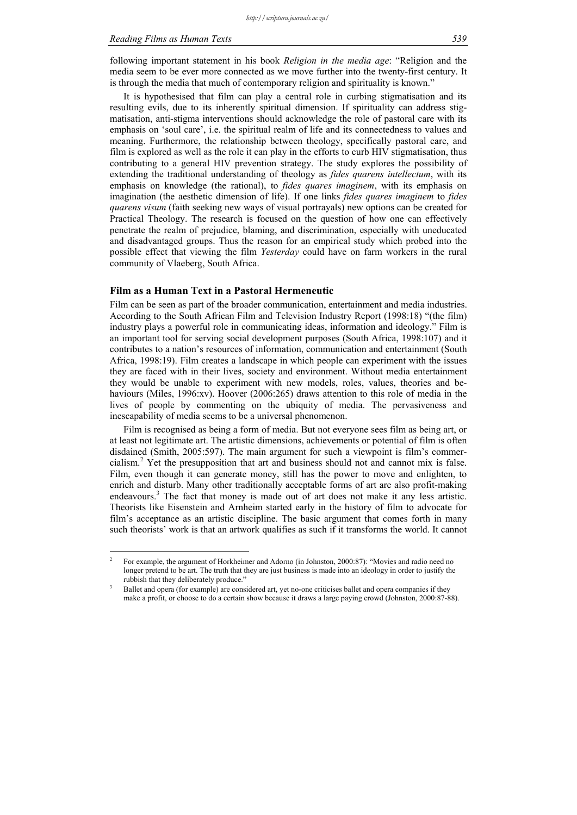#### *Reading Films as Human Texts 539*

following important statement in his book *Religion in the media age*: "Religion and the media seem to be ever more connected as we move further into the twenty-first century. It is through the media that much of contemporary religion and spirituality is known."

It is hypothesised that film can play a central role in curbing stigmatisation and its resulting evils, due to its inherently spiritual dimension. If spirituality can address stigmatisation, anti-stigma interventions should acknowledge the role of pastoral care with its emphasis on 'soul care', i.e. the spiritual realm of life and its connectedness to values and meaning. Furthermore, the relationship between theology, specifically pastoral care, and film is explored as well as the role it can play in the efforts to curb HIV stigmatisation, thus contributing to a general HIV prevention strategy. The study explores the possibility of extending the traditional understanding of theology as *fides quarens intellectum*, with its emphasis on knowledge (the rational), to *fides quares imaginem*, with its emphasis on imagination (the aesthetic dimension of life). If one links *fides quares imaginem* to *fides quarens visum* (faith seeking new ways of visual portrayals) new options can be created for Practical Theology. The research is focused on the question of how one can effectively penetrate the realm of prejudice, blaming, and discrimination, especially with uneducated and disadvantaged groups. Thus the reason for an empirical study which probed into the possible effect that viewing the film *Yesterday* could have on farm workers in the rural community of Vlaeberg, South Africa.

#### **Film as a Human Text in a Pastoral Hermeneutic**

1

Film can be seen as part of the broader communication, entertainment and media industries. According to the South African Film and Television Industry Report (1998:18) "(the film) industry plays a powerful role in communicating ideas, information and ideology." Film is an important tool for serving social development purposes (South Africa, 1998:107) and it contributes to a nation's resources of information, communication and entertainment (South Africa, 1998:19). Film creates a landscape in which people can experiment with the issues they are faced with in their lives, society and environment. Without media entertainment they would be unable to experiment with new models, roles, values, theories and behaviours (Miles, 1996:xv). Hoover (2006:265) draws attention to this role of media in the lives of people by commenting on the ubiquity of media. The pervasiveness and inescapability of media seems to be a universal phenomenon.

Film is recognised as being a form of media. But not everyone sees film as being art, or at least not legitimate art. The artistic dimensions, achievements or potential of film is often disdained (Smith, 2005:597). The main argument for such a viewpoint is film's commercialism.<sup>2</sup> Yet the presupposition that art and business should not and cannot mix is false. Film, even though it can generate money, still has the power to move and enlighten, to enrich and disturb. Many other traditionally acceptable forms of art are also profit-making endeavours.<sup>3</sup> The fact that money is made out of art does not make it any less artistic. Theorists like Eisenstein and Arnheim started early in the history of film to advocate for film's acceptance as an artistic discipline. The basic argument that comes forth in many such theorists' work is that an artwork qualifies as such if it transforms the world. It cannot

<sup>2</sup> For example, the argument of Horkheimer and Adorno (in Johnston, 2000:87): "Movies and radio need no longer pretend to be art. The truth that they are just business is made into an ideology in order to justify the rubbish that they deliberately produce."

Ballet and opera (for example) are considered art, yet no-one criticises ballet and opera companies if they make a profit, or choose to do a certain show because it draws a large paying crowd (Johnston, 2000:87-88).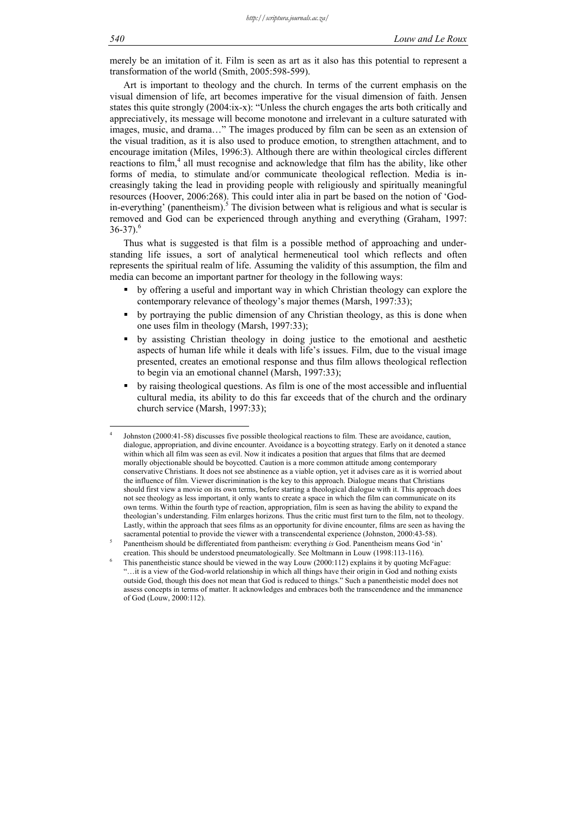merely be an imitation of it. Film is seen as art as it also has this potential to represent a transformation of the world (Smith, 2005:598-599).

Art is important to theology and the church. In terms of the current emphasis on the visual dimension of life, art becomes imperative for the visual dimension of faith. Jensen states this quite strongly (2004:ix-x): "Unless the church engages the arts both critically and appreciatively, its message will become monotone and irrelevant in a culture saturated with images, music, and drama…" The images produced by film can be seen as an extension of the visual tradition, as it is also used to produce emotion, to strengthen attachment, and to encourage imitation (Miles, 1996:3). Although there are within theological circles different reactions to film,<sup>4</sup> all must recognise and acknowledge that film has the ability, like other forms of media, to stimulate and/or communicate theological reflection. Media is increasingly taking the lead in providing people with religiously and spiritually meaningful resources (Hoover, 2006:268). This could inter alia in part be based on the notion of 'Godin-everything' (panentheism).<sup>5</sup> The division between what is religious and what is secular is removed and God can be experienced through anything and everything (Graham, 1997:  $36-37$ .<sup>6</sup>

Thus what is suggested is that film is a possible method of approaching and understanding life issues, a sort of analytical hermeneutical tool which reflects and often represents the spiritual realm of life. Assuming the validity of this assumption, the film and media can become an important partner for theology in the following ways:

- by offering a useful and important way in which Christian theology can explore the contemporary relevance of theology's major themes (Marsh, 1997:33);
- by portraying the public dimension of any Christian theology, as this is done when one uses film in theology (Marsh, 1997:33);
- by assisting Christian theology in doing justice to the emotional and aesthetic aspects of human life while it deals with life's issues. Film, due to the visual image presented, creates an emotional response and thus film allows theological reflection to begin via an emotional channel (Marsh, 1997:33);
- by raising theological questions. As film is one of the most accessible and influential cultural media, its ability to do this far exceeds that of the church and the ordinary church service (Marsh, 1997:33);

1

<sup>4</sup> Johnston (2000:41-58) discusses five possible theological reactions to film. These are avoidance, caution, dialogue, appropriation, and divine encounter. Avoidance is a boycotting strategy. Early on it denoted a stance within which all film was seen as evil. Now it indicates a position that argues that films that are deemed morally objectionable should be boycotted. Caution is a more common attitude among contemporary conservative Christians. It does not see abstinence as a viable option, yet it advises care as it is worried about the influence of film. Viewer discrimination is the key to this approach. Dialogue means that Christians should first view a movie on its own terms, before starting a theological dialogue with it. This approach does not see theology as less important, it only wants to create a space in which the film can communicate on its own terms. Within the fourth type of reaction, appropriation, film is seen as having the ability to expand the theologian's understanding. Film enlarges horizons. Thus the critic must first turn to the film, not to theology. Lastly, within the approach that sees films as an opportunity for divine encounter, films are seen as having the sacramental potential to provide the viewer with a transcendental experience (Johnston, 2000:43-58).

Panentheism should be differentiated from pantheism: everything *is* God. Panentheism means God 'in' creation. This should be understood pneumatologically. See Moltmann in Louw (1998:113-116). 6

This panentheistic stance should be viewed in the way Louw (2000:112) explains it by quoting McFague: "…it is a view of the God-world relationship in which all things have their origin in God and nothing exists outside God, though this does not mean that God is reduced to things." Such a panentheistic model does not assess concepts in terms of matter. It acknowledges and embraces both the transcendence and the immanence of God (Louw, 2000:112).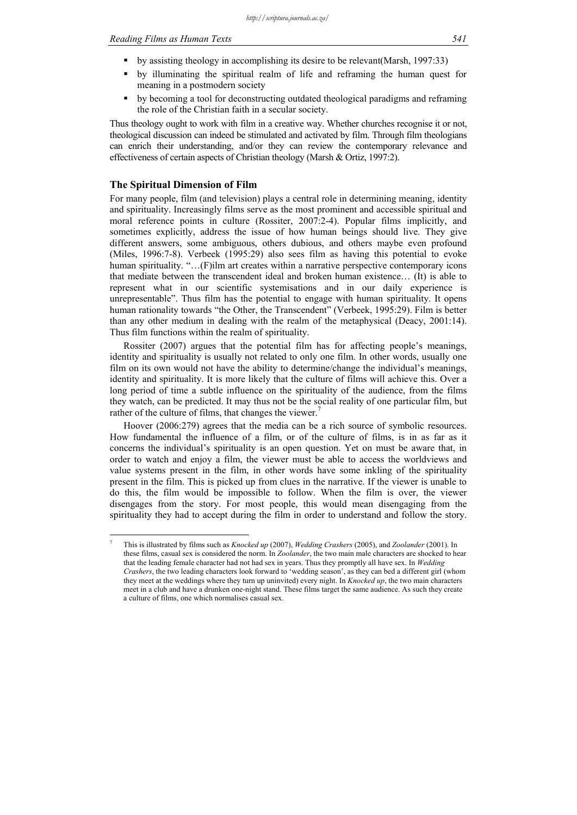- by illuminating the spiritual realm of life and reframing the human quest for meaning in a postmodern society
- by becoming a tool for deconstructing outdated theological paradigms and reframing the role of the Christian faith in a secular society.

Thus theology ought to work with film in a creative way. Whether churches recognise it or not, theological discussion can indeed be stimulated and activated by film. Through film theologians can enrich their understanding, and/or they can review the contemporary relevance and effectiveness of certain aspects of Christian theology (Marsh & Ortiz, 1997:2).

#### **The Spiritual Dimension of Film**

<u>.</u> 7

For many people, film (and television) plays a central role in determining meaning, identity and spirituality. Increasingly films serve as the most prominent and accessible spiritual and moral reference points in culture (Rossiter, 2007:2-4). Popular films implicitly, and sometimes explicitly, address the issue of how human beings should live. They give different answers, some ambiguous, others dubious, and others maybe even profound (Miles, 1996:7-8). Verbeek (1995:29) also sees film as having this potential to evoke human spirituality. "...(F)ilm art creates within a narrative perspective contemporary icons that mediate between the transcendent ideal and broken human existence… (It) is able to represent what in our scientific systemisations and in our daily experience is unrepresentable". Thus film has the potential to engage with human spirituality. It opens human rationality towards "the Other, the Transcendent" (Verbeek, 1995:29). Film is better than any other medium in dealing with the realm of the metaphysical (Deacy, 2001:14). Thus film functions within the realm of spirituality.

Rossiter (2007) argues that the potential film has for affecting people's meanings, identity and spirituality is usually not related to only one film. In other words, usually one film on its own would not have the ability to determine/change the individual's meanings, identity and spirituality. It is more likely that the culture of films will achieve this. Over a long period of time a subtle influence on the spirituality of the audience, from the films they watch, can be predicted. It may thus not be the social reality of one particular film, but rather of the culture of films, that changes the viewer.<sup>7</sup>

Hoover (2006:279) agrees that the media can be a rich source of symbolic resources. How fundamental the influence of a film, or of the culture of films, is in as far as it concerns the individual's spirituality is an open question. Yet on must be aware that, in order to watch and enjoy a film, the viewer must be able to access the worldviews and value systems present in the film, in other words have some inkling of the spirituality present in the film. This is picked up from clues in the narrative. If the viewer is unable to do this, the film would be impossible to follow. When the film is over, the viewer disengages from the story. For most people, this would mean disengaging from the spirituality they had to accept during the film in order to understand and follow the story.

This is illustrated by films such as *Knocked up* (2007), *Wedding Crashers* (2005), and *Zoolander* (2001). In these films, casual sex is considered the norm. In *Zoolander*, the two main male characters are shocked to hear that the leading female character had not had sex in years. Thus they promptly all have sex. In *Wedding Crashers*, the two leading characters look forward to 'wedding season', as they can bed a different girl (whom they meet at the weddings where they turn up uninvited) every night. In *Knocked up*, the two main characters meet in a club and have a drunken one-night stand. These films target the same audience. As such they create a culture of films, one which normalises casual sex.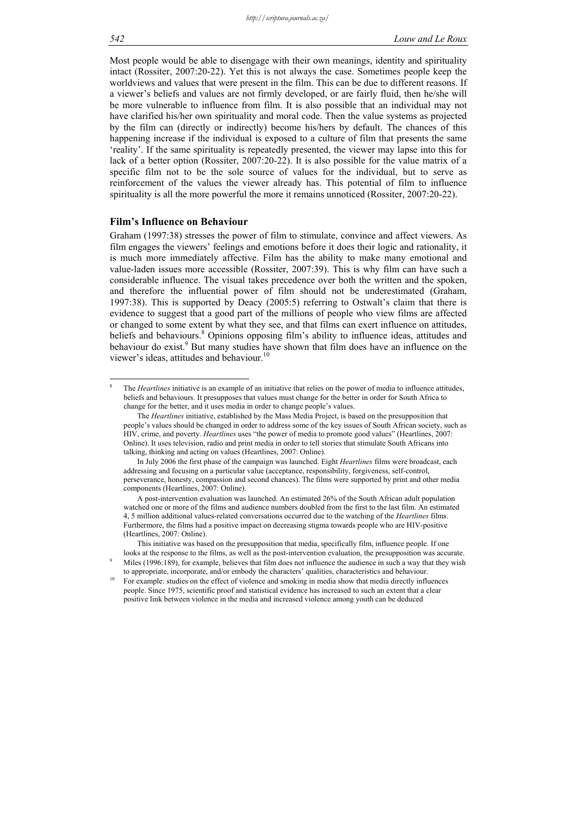Most people would be able to disengage with their own meanings, identity and spirituality intact (Rossiter, 2007:20-22). Yet this is not always the case. Sometimes people keep the worldviews and values that were present in the film. This can be due to different reasons. If a viewer's beliefs and values are not firmly developed, or are fairly fluid, then he/she will be more vulnerable to influence from film. It is also possible that an individual may not have clarified his/her own spirituality and moral code. Then the value systems as projected by the film can (directly or indirectly) become his/hers by default. The chances of this happening increase if the individual is exposed to a culture of film that presents the same 'reality'. If the same spirituality is repeatedly presented, the viewer may lapse into this for lack of a better option (Rossiter, 2007:20-22). It is also possible for the value matrix of a specific film not to be the sole source of values for the individual, but to serve as reinforcement of the values the viewer already has. This potential of film to influence spirituality is all the more powerful the more it remains unnoticed (Rossiter, 2007:20-22).

#### **Film's Influence on Behaviour**

Graham (1997:38) stresses the power of film to stimulate, convince and affect viewers. As film engages the viewers' feelings and emotions before it does their logic and rationality, it is much more immediately affective. Film has the ability to make many emotional and value-laden issues more accessible (Rossiter, 2007:39). This is why film can have such a considerable influence. The visual takes precedence over both the written and the spoken, and therefore the influential power of film should not be underestimated (Graham, 1997:38). This is supported by Deacy (2005:5) referring to Ostwalt's claim that there is evidence to suggest that a good part of the millions of people who view films are affected or changed to some extent by what they see, and that films can exert influence on attitudes, beliefs and behaviours.<sup>8</sup> Opinions opposing film's ability to influence ideas, attitudes and behaviour do exist.<sup>9</sup> But many studies have shown that film does have an influence on the viewer's ideas, attitudes and behaviour.<sup>10</sup>

1

<sup>8</sup> The *Heartlines* initiative is an example of an initiative that relies on the power of media to influence attitudes, beliefs and behaviours. It presupposes that values must change for the better in order for South Africa to change for the better, and it uses media in order to change people's values.

The *Heartlines* initiative, established by the Mass Media Project, is based on the presupposition that people's values should be changed in order to address some of the key issues of South African society, such as HIV, crime, and poverty. *Heartlines* uses "the power of media to promote good values" (Heartlines, 2007: Online). It uses television, radio and print media in order to tell stories that stimulate South Africans into talking, thinking and acting on values (Heartlines, 2007: Online).

In July 2006 the first phase of the campaign was launched. Eight *Heartlines* films were broadcast, each addressing and focusing on a particular value (acceptance, responsibility, forgiveness, self-control, perseverance, honesty, compassion and second chances). The films were supported by print and other media components (Heartlines, 2007: Online).

A post-intervention evaluation was launched. An estimated 26% of the South African adult population watched one or more of the films and audience numbers doubled from the first to the last film. An estimated 4, 5 million additional values-related conversations occurred due to the watching of the *Heartlines* films. Furthermore, the films had a positive impact on decreasing stigma towards people who are HIV-positive (Heartlines, 2007: Online).

This initiative was based on the presupposition that media, specifically film, influence people. If one looks at the response to the films, as well as the post-intervention evaluation, the presupposition was accurate. Miles (1996:189), for example, believes that film does not influence the audience in such a way that they wish

to appropriate, incorporate, and/or embody the characters' qualities, characteristics and behaviour.<br>10 For example: studies on the effect of violence and smoking in media show that media directly influences people. Since 1975, scientific proof and statistical evidence has increased to such an extent that a clear positive link between violence in the media and increased violence among youth can be deduced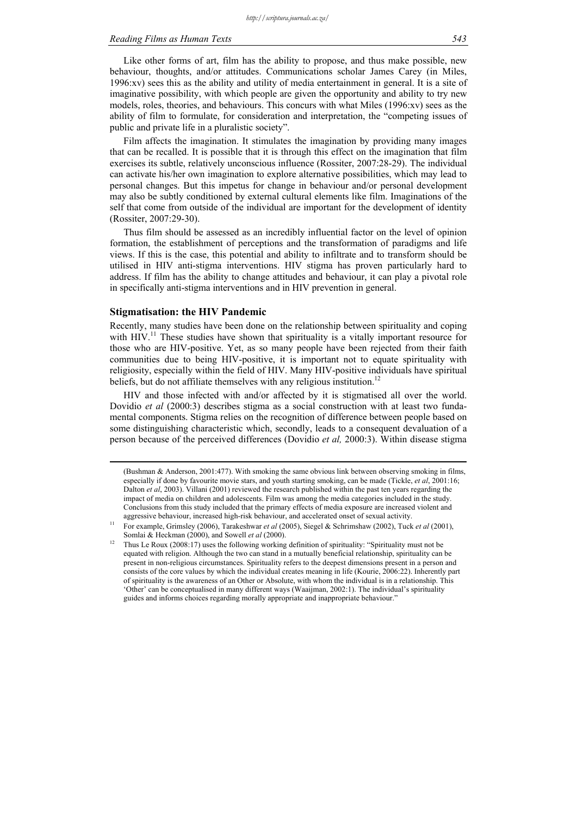#### *Reading Films as Human Texts 543*

Like other forms of art, film has the ability to propose, and thus make possible, new behaviour, thoughts, and/or attitudes. Communications scholar James Carey (in Miles, 1996:xv) sees this as the ability and utility of media entertainment in general. It is a site of imaginative possibility, with which people are given the opportunity and ability to try new models, roles, theories, and behaviours. This concurs with what Miles (1996:xv) sees as the ability of film to formulate, for consideration and interpretation, the "competing issues of public and private life in a pluralistic society".

Film affects the imagination. It stimulates the imagination by providing many images that can be recalled. It is possible that it is through this effect on the imagination that film exercises its subtle, relatively unconscious influence (Rossiter, 2007:28-29). The individual can activate his/her own imagination to explore alternative possibilities, which may lead to personal changes. But this impetus for change in behaviour and/or personal development may also be subtly conditioned by external cultural elements like film. Imaginations of the self that come from outside of the individual are important for the development of identity (Rossiter, 2007:29-30).

Thus film should be assessed as an incredibly influential factor on the level of opinion formation, the establishment of perceptions and the transformation of paradigms and life views. If this is the case, this potential and ability to infiltrate and to transform should be utilised in HIV anti-stigma interventions. HIV stigma has proven particularly hard to address. If film has the ability to change attitudes and behaviour, it can play a pivotal role in specifically anti-stigma interventions and in HIV prevention in general.

#### **Stigmatisation: the HIV Pandemic**

Recently, many studies have been done on the relationship between spirituality and coping with  $HIV$ <sup>11</sup>. These studies have shown that spirituality is a vitally important resource for those who are HIV-positive. Yet, as so many people have been rejected from their faith communities due to being HIV-positive, it is important not to equate spirituality with religiosity, especially within the field of HIV. Many HIV-positive individuals have spiritual beliefs, but do not affiliate themselves with any religious institution.<sup>12</sup>

HIV and those infected with and/or affected by it is stigmatised all over the world. Dovidio *et al* (2000:3) describes stigma as a social construction with at least two fundamental components. Stigma relies on the recognition of difference between people based on some distinguishing characteristic which, secondly, leads to a consequent devaluation of a person because of the perceived differences (Dovidio *et al,* 2000:3). Within disease stigma

 <sup>(</sup>Bushman & Anderson, 2001:477). With smoking the same obvious link between observing smoking in films, especially if done by favourite movie stars, and youth starting smoking, can be made (Tickle, *et al*, 2001:16; Dalton *et al*, 2003). Villani (2001) reviewed the research published within the past ten years regarding the impact of media on children and adolescents. Film was among the media categories included in the study. Conclusions from this study included that the primary effects of media exposure are increased violent and

aggressive behaviour, increased high-risk behaviour, and accelerated onset of sexual activity. 11 For example, Grimsley (2006), Tarakeshwar *et al* (2005), Siegel & Schrimshaw (2002), Tuck *et al* (2001),

Somlai & Heckman (2000), and Sowell *et al* (2000).<br><sup>12</sup> Thus Le Roux (2008:17) uses the following working definition of spirituality: "Spirituality must not be equated with religion. Although the two can stand in a mutually beneficial relationship, spirituality can be present in non-religious circumstances. Spirituality refers to the deepest dimensions present in a person and consists of the core values by which the individual creates meaning in life (Kourie, 2006:22). Inherently part of spirituality is the awareness of an Other or Absolute, with whom the individual is in a relationship. This 'Other' can be conceptualised in many different ways (Waaijman, 2002:1). The individual's spirituality guides and informs choices regarding morally appropriate and inappropriate behaviour."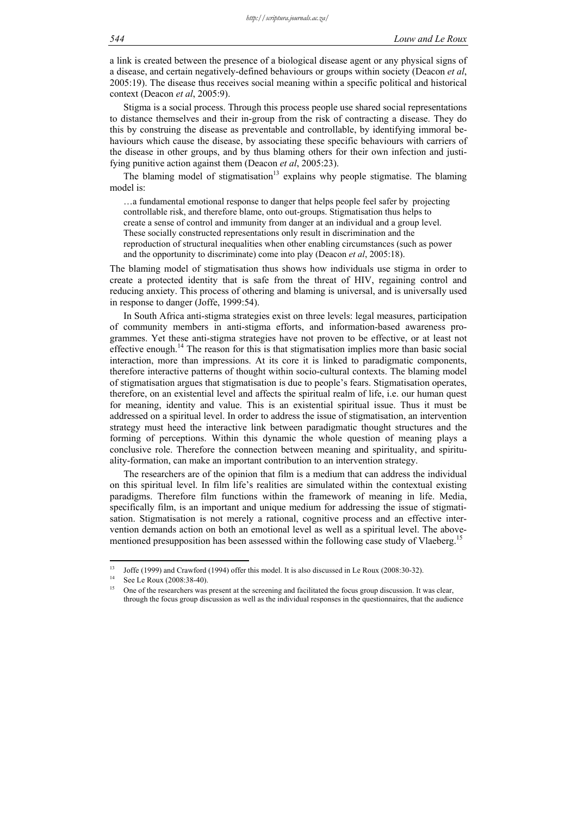a link is created between the presence of a biological disease agent or any physical signs of a disease, and certain negatively-defined behaviours or groups within society (Deacon *et al*, 2005:19). The disease thus receives social meaning within a specific political and historical context (Deacon *et al*, 2005:9).

Stigma is a social process. Through this process people use shared social representations to distance themselves and their in-group from the risk of contracting a disease. They do this by construing the disease as preventable and controllable, by identifying immoral behaviours which cause the disease, by associating these specific behaviours with carriers of the disease in other groups, and by thus blaming others for their own infection and justifying punitive action against them (Deacon *et al*, 2005:23).

The blaming model of stigmatisation<sup>13</sup> explains why people stigmatise. The blaming model is:

…a fundamental emotional response to danger that helps people feel safer by projecting controllable risk, and therefore blame, onto out-groups. Stigmatisation thus helps to create a sense of control and immunity from danger at an individual and a group level. These socially constructed representations only result in discrimination and the reproduction of structural inequalities when other enabling circumstances (such as power and the opportunity to discriminate) come into play (Deacon *et al*, 2005:18).

The blaming model of stigmatisation thus shows how individuals use stigma in order to create a protected identity that is safe from the threat of HIV, regaining control and reducing anxiety. This process of othering and blaming is universal, and is universally used in response to danger (Joffe, 1999:54).

In South Africa anti-stigma strategies exist on three levels: legal measures, participation of community members in anti-stigma efforts, and information-based awareness programmes. Yet these anti-stigma strategies have not proven to be effective, or at least not effective enough.<sup>14</sup> The reason for this is that stigmatisation implies more than basic social interaction, more than impressions. At its core it is linked to paradigmatic components, therefore interactive patterns of thought within socio-cultural contexts. The blaming model of stigmatisation argues that stigmatisation is due to people's fears. Stigmatisation operates, therefore, on an existential level and affects the spiritual realm of life, i.e. our human quest for meaning, identity and value. This is an existential spiritual issue. Thus it must be addressed on a spiritual level. In order to address the issue of stigmatisation, an intervention strategy must heed the interactive link between paradigmatic thought structures and the forming of perceptions. Within this dynamic the whole question of meaning plays a conclusive role. Therefore the connection between meaning and spirituality, and spirituality-formation, can make an important contribution to an intervention strategy.

The researchers are of the opinion that film is a medium that can address the individual on this spiritual level. In film life's realities are simulated within the contextual existing paradigms. Therefore film functions within the framework of meaning in life. Media, specifically film, is an important and unique medium for addressing the issue of stigmatisation. Stigmatisation is not merely a rational, cognitive process and an effective intervention demands action on both an emotional level as well as a spiritual level. The abovementioned presupposition has been assessed within the following case study of Vlaeberg.<sup>15</sup>

 $13$ <sup>13</sup> Joffe (1999) and Crawford (1994) offer this model. It is also discussed in Le Roux (2008:30-32).<br><sup>14</sup> See Le Roux (2008:38-40).

<sup>15</sup> One of the researchers was present at the screening and facilitated the focus group discussion. It was clear, through the focus group discussion as well as the individual responses in the questionnaires, that the audience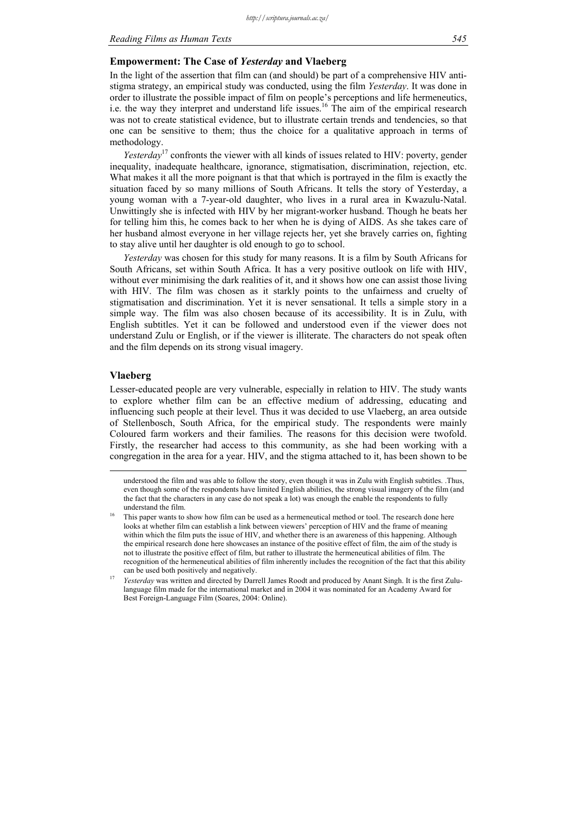#### *Reading Films as Human Texts 545*

#### **Empowerment: The Case of** *Yesterday* **and Vlaeberg**

In the light of the assertion that film can (and should) be part of a comprehensive HIV antistigma strategy, an empirical study was conducted, using the film *Yesterday*. It was done in order to illustrate the possible impact of film on people's perceptions and life hermeneutics, i.e. the way they interpret and understand life issues.<sup>16</sup> The aim of the empirical research was not to create statistical evidence, but to illustrate certain trends and tendencies, so that one can be sensitive to them; thus the choice for a qualitative approach in terms of methodology.

*Yesterday*<sup>17</sup> confronts the viewer with all kinds of issues related to HIV: poverty, gender inequality, inadequate healthcare, ignorance, stigmatisation, discrimination, rejection, etc. What makes it all the more poignant is that that which is portrayed in the film is exactly the situation faced by so many millions of South Africans. It tells the story of Yesterday, a young woman with a 7-year-old daughter, who lives in a rural area in Kwazulu-Natal. Unwittingly she is infected with HIV by her migrant-worker husband. Though he beats her for telling him this, he comes back to her when he is dying of AIDS. As she takes care of her husband almost everyone in her village rejects her, yet she bravely carries on, fighting to stay alive until her daughter is old enough to go to school.

*Yesterday* was chosen for this study for many reasons. It is a film by South Africans for South Africans, set within South Africa. It has a very positive outlook on life with HIV, without ever minimising the dark realities of it, and it shows how one can assist those living with HIV. The film was chosen as it starkly points to the unfairness and cruelty of stigmatisation and discrimination. Yet it is never sensational. It tells a simple story in a simple way. The film was also chosen because of its accessibility. It is in Zulu, with English subtitles. Yet it can be followed and understood even if the viewer does not understand Zulu or English, or if the viewer is illiterate. The characters do not speak often and the film depends on its strong visual imagery.

### **Vlaeberg**

Lesser-educated people are very vulnerable, especially in relation to HIV. The study wants to explore whether film can be an effective medium of addressing, educating and influencing such people at their level. Thus it was decided to use Vlaeberg, an area outside of Stellenbosch, South Africa, for the empirical study. The respondents were mainly Coloured farm workers and their families. The reasons for this decision were twofold. Firstly, the researcher had access to this community, as she had been working with a congregation in the area for a year. HIV, and the stigma attached to it, has been shown to be

 understood the film and was able to follow the story, even though it was in Zulu with English subtitles. .Thus, even though some of the respondents have limited English abilities, the strong visual imagery of the film (and the fact that the characters in any case do not speak a lot) was enough the enable the respondents to fully understand the film.<br>This paper wants to show how film can be used as a hermeneutical method or tool. The research done here

looks at whether film can establish a link between viewers' perception of HIV and the frame of meaning within which the film puts the issue of HIV, and whether there is an awareness of this happening. Although the empirical research done here showcases an instance of the positive effect of film, the aim of the study is not to illustrate the positive effect of film, but rather to illustrate the hermeneutical abilities of film. The recognition of the hermeneutical abilities of film inherently includes the recognition of the fact that this ability

can be used both positively and negatively. 17 *Yesterday* was written and directed by Darrell James Roodt and produced by Anant Singh. It is the first Zululanguage film made for the international market and in 2004 it was nominated for an Academy Award for Best Foreign-Language Film (Soares, 2004: Online).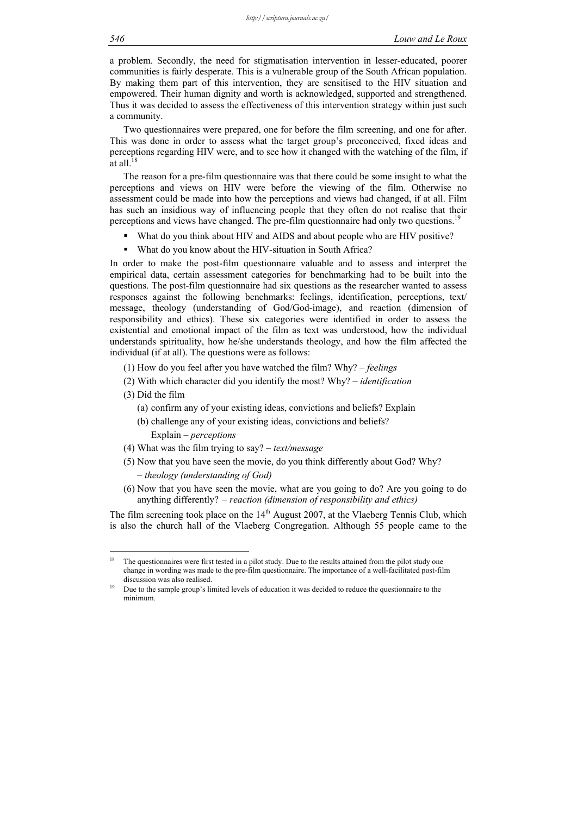a problem. Secondly, the need for stigmatisation intervention in lesser-educated, poorer communities is fairly desperate. This is a vulnerable group of the South African population. By making them part of this intervention, they are sensitised to the HIV situation and empowered. Their human dignity and worth is acknowledged, supported and strengthened. Thus it was decided to assess the effectiveness of this intervention strategy within just such a community.

Two questionnaires were prepared, one for before the film screening, and one for after. This was done in order to assess what the target group's preconceived, fixed ideas and perceptions regarding HIV were, and to see how it changed with the watching of the film, if at all.

The reason for a pre-film questionnaire was that there could be some insight to what the perceptions and views on HIV were before the viewing of the film. Otherwise no assessment could be made into how the perceptions and views had changed, if at all. Film has such an insidious way of influencing people that they often do not realise that their perceptions and views have changed. The pre-film questionnaire had only two questions.<sup>19</sup>

- What do you think about HIV and AIDS and about people who are HIV positive?
- What do you know about the HIV-situation in South Africa?

In order to make the post-film questionnaire valuable and to assess and interpret the empirical data, certain assessment categories for benchmarking had to be built into the questions. The post-film questionnaire had six questions as the researcher wanted to assess responses against the following benchmarks: feelings, identification, perceptions, text/ message, theology (understanding of God/God-image), and reaction (dimension of responsibility and ethics). These six categories were identified in order to assess the existential and emotional impact of the film as text was understood, how the individual understands spirituality, how he/she understands theology, and how the film affected the individual (if at all). The questions were as follows:

- (1) How do you feel after you have watched the film? Why? – *feelings*
- (2) With which character did you identify the most? Why?  *identification*
- (3) Did the film

1

- (a) confirm any of your existing ideas, convictions and beliefs? Explain
- (b) challenge any of your existing ideas, convictions and beliefs?

Explain *– perceptions* 

- (4) What was the film trying to say?  *text/message*
- (5) Now that you have seen the movie, do you think differently about God? Why? *– theology (understanding of God)*
- (6) Now that you have seen the movie, what are you going to do? Are you going to do anything differently? *– reaction (dimension of responsibility and ethics)*

The film screening took place on the  $14<sup>th</sup>$  August 2007, at the Vlaeberg Tennis Club, which is also the church hall of the Vlaeberg Congregation. Although 55 people came to the

The questionnaires were first tested in a pilot study. Due to the results attained from the pilot study one change in wording was made to the pre-film questionnaire. The importance of a well-facilitated post-film discussion was also realised.<br>Due to the sample group's limited levels of education it was decided to reduce the questionnaire to the

minimum.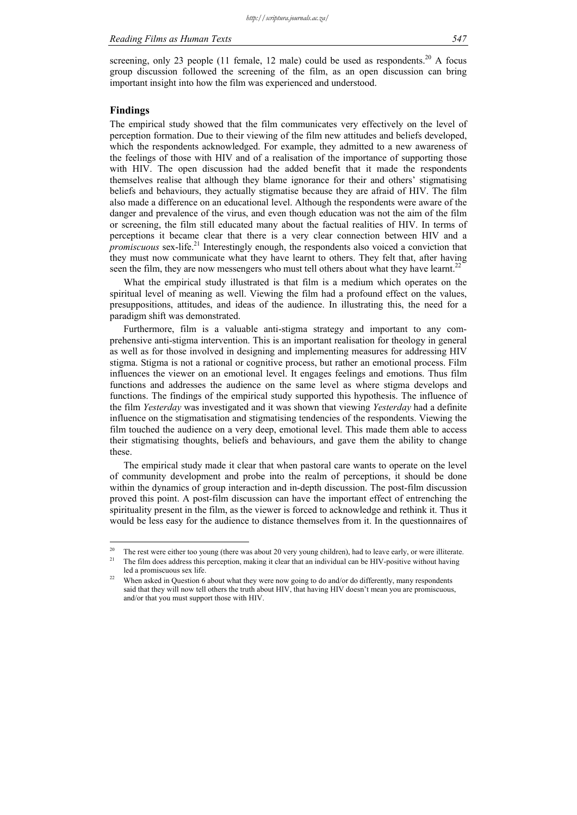screening, only 23 people (11 female, 12 male) could be used as respondents.<sup>20</sup> A focus group discussion followed the screening of the film, as an open discussion can bring important insight into how the film was experienced and understood.

### **Findings**

1

The empirical study showed that the film communicates very effectively on the level of perception formation. Due to their viewing of the film new attitudes and beliefs developed, which the respondents acknowledged. For example, they admitted to a new awareness of the feelings of those with HIV and of a realisation of the importance of supporting those with HIV. The open discussion had the added benefit that it made the respondents themselves realise that although they blame ignorance for their and others' stigmatising beliefs and behaviours, they actually stigmatise because they are afraid of HIV. The film also made a difference on an educational level. Although the respondents were aware of the danger and prevalence of the virus, and even though education was not the aim of the film or screening, the film still educated many about the factual realities of HIV. In terms of perceptions it became clear that there is a very clear connection between HIV and a *promiscuous* sex-life.<sup>21</sup> Interestingly enough, the respondents also voiced a conviction that they must now communicate what they have learnt to others. They felt that, after having seen the film, they are now messengers who must tell others about what they have learnt.<sup>22</sup>

What the empirical study illustrated is that film is a medium which operates on the spiritual level of meaning as well. Viewing the film had a profound effect on the values, presuppositions, attitudes, and ideas of the audience. In illustrating this, the need for a paradigm shift was demonstrated.

Furthermore, film is a valuable anti-stigma strategy and important to any comprehensive anti-stigma intervention. This is an important realisation for theology in general as well as for those involved in designing and implementing measures for addressing HIV stigma. Stigma is not a rational or cognitive process, but rather an emotional process. Film influences the viewer on an emotional level. It engages feelings and emotions. Thus film functions and addresses the audience on the same level as where stigma develops and functions. The findings of the empirical study supported this hypothesis. The influence of the film *Yesterday* was investigated and it was shown that viewing *Yesterday* had a definite influence on the stigmatisation and stigmatising tendencies of the respondents. Viewing the film touched the audience on a very deep, emotional level. This made them able to access their stigmatising thoughts, beliefs and behaviours, and gave them the ability to change these.

The empirical study made it clear that when pastoral care wants to operate on the level of community development and probe into the realm of perceptions, it should be done within the dynamics of group interaction and in-depth discussion. The post-film discussion proved this point. A post-film discussion can have the important effect of entrenching the spirituality present in the film, as the viewer is forced to acknowledge and rethink it. Thus it would be less easy for the audience to distance themselves from it. In the questionnaires of

The rest were either too young (there was about 20 very young children), had to leave early, or were illiterate.<br>The film does address this perception, making it clear that an individual can be HIV-positive without having led a promiscuous sex life.<br><sup>22</sup> When asked in Question 6 about what they were now going to do and/or do differently, many respondents

said that they will now tell others the truth about HIV, that having HIV doesn't mean you are promiscuous, and/or that you must support those with HIV.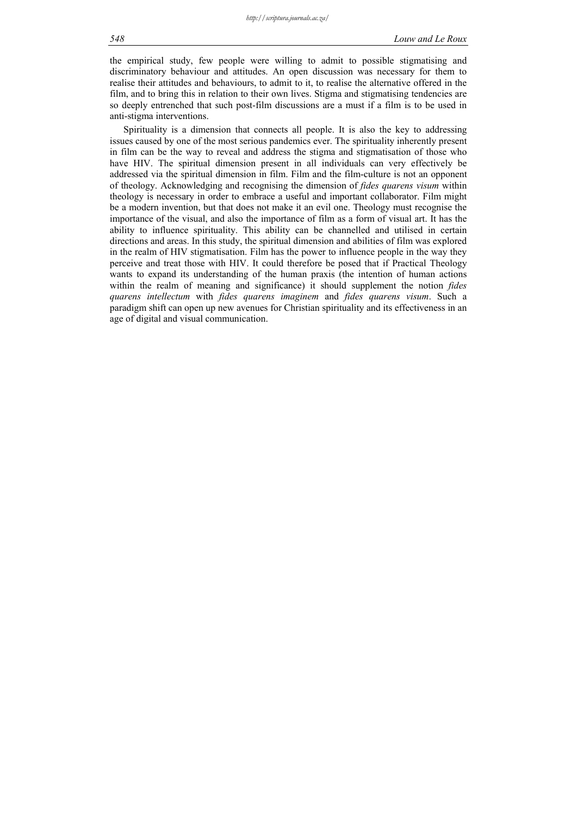the empirical study, few people were willing to admit to possible stigmatising and discriminatory behaviour and attitudes. An open discussion was necessary for them to realise their attitudes and behaviours, to admit to it, to realise the alternative offered in the film, and to bring this in relation to their own lives. Stigma and stigmatising tendencies are so deeply entrenched that such post-film discussions are a must if a film is to be used in anti-stigma interventions.

Spirituality is a dimension that connects all people. It is also the key to addressing issues caused by one of the most serious pandemics ever. The spirituality inherently present in film can be the way to reveal and address the stigma and stigmatisation of those who have HIV. The spiritual dimension present in all individuals can very effectively be addressed via the spiritual dimension in film. Film and the film-culture is not an opponent of theology. Acknowledging and recognising the dimension of *fides quarens visum* within theology is necessary in order to embrace a useful and important collaborator. Film might be a modern invention, but that does not make it an evil one. Theology must recognise the importance of the visual, and also the importance of film as a form of visual art. It has the ability to influence spirituality. This ability can be channelled and utilised in certain directions and areas. In this study, the spiritual dimension and abilities of film was explored in the realm of HIV stigmatisation. Film has the power to influence people in the way they perceive and treat those with HIV. It could therefore be posed that if Practical Theology wants to expand its understanding of the human praxis (the intention of human actions within the realm of meaning and significance) it should supplement the notion *fides quarens intellectum* with *fides quarens imaginem* and *fides quarens visum*. Such a paradigm shift can open up new avenues for Christian spirituality and its effectiveness in an age of digital and visual communication.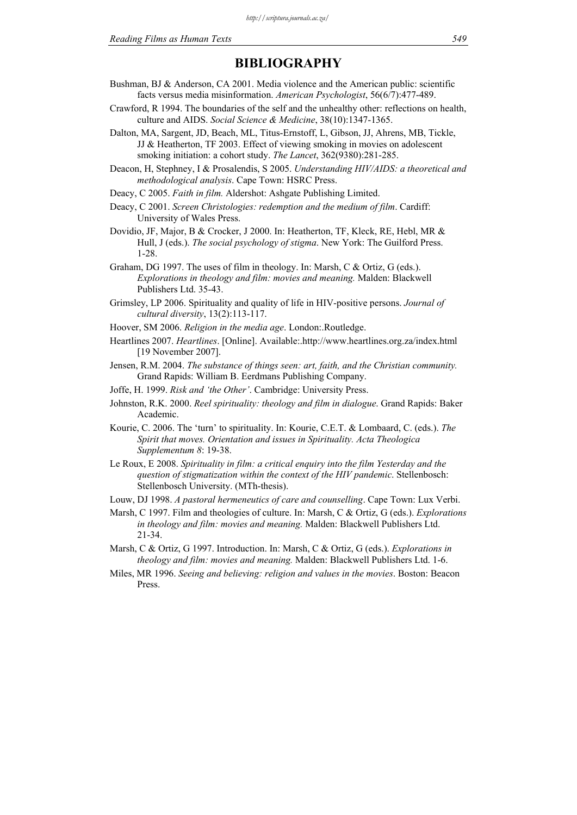# **BIBLIOGRAPHY**

- Bushman, BJ & Anderson, CA 2001. Media violence and the American public: scientific facts versus media misinformation. *American Psychologist*, 56(6/7):477-489.
- Crawford, R 1994. The boundaries of the self and the unhealthy other: reflections on health, culture and AIDS. *Social Science & Medicine*, 38(10):1347-1365.
- Dalton, MA, Sargent, JD, Beach, ML, Titus-Ernstoff, L, Gibson, JJ, Ahrens, MB, Tickle, JJ & Heatherton, TF 2003. Effect of viewing smoking in movies on adolescent smoking initiation: a cohort study. *The Lancet*, 362(9380):281-285.
- Deacon, H, Stephney, I & Prosalendis, S 2005. *Understanding HIV/AIDS: a theoretical and methodological analysis*. Cape Town: HSRC Press.
- Deacy, C 2005. *Faith in film.* Aldershot: Ashgate Publishing Limited.
- Deacy, C 2001. *Screen Christologies: redemption and the medium of film*. Cardiff: University of Wales Press.
- Dovidio, JF, Major, B & Crocker, J 2000. In: Heatherton, TF, Kleck, RE, Hebl, MR & Hull, J (eds.). *The social psychology of stigma*. New York: The Guilford Press. 1-28.
- Graham, DG 1997. The uses of film in theology. In: Marsh, C & Ortiz, G (eds.). *Explorations in theology and film: movies and meaning.* Malden: Blackwell Publishers Ltd. 35-43.
- Grimsley, LP 2006. Spirituality and quality of life in HIV-positive persons. *Journal of cultural diversity*, 13(2):113-117.
- Hoover, SM 2006. *Religion in the media age*. London:.Routledge.
- Heartlines 2007. *Heartlines*. [Online]. Available:.http://www.heartlines.org.za/index.html [19 November 2007].
- Jensen, R.M. 2004. *The substance of things seen: art, faith, and the Christian community.*  Grand Rapids: William B. Eerdmans Publishing Company.
- Joffe, H. 1999. *Risk and 'the Other'*. Cambridge: University Press.
- Johnston, R.K. 2000. *Reel spirituality: theology and film in dialogue*. Grand Rapids: Baker Academic.
- Kourie, C. 2006. The 'turn' to spirituality. In: Kourie, C.E.T. & Lombaard, C. (eds.). *The Spirit that moves. Orientation and issues in Spirituality. Acta Theologica Supplementum 8*: 19-38.
- Le Roux, E 2008. *Spirituality in film: a critical enquiry into the film Yesterday and the question of stigmatization within the context of the HIV pandemic*. Stellenbosch: Stellenbosch University. (MTh-thesis).
- Louw, DJ 1998. *A pastoral hermeneutics of care and counselling*. Cape Town: Lux Verbi.
- Marsh, C 1997. Film and theologies of culture. In: Marsh, C & Ortiz, G (eds.). *Explorations in theology and film: movies and meaning.* Malden: Blackwell Publishers Ltd. 21-34.
- Marsh, C & Ortiz, G 1997. Introduction. In: Marsh, C & Ortiz, G (eds.). *Explorations in theology and film: movies and meaning.* Malden: Blackwell Publishers Ltd. 1-6.
- Miles, MR 1996. *Seeing and believing: religion and values in the movies*. Boston: Beacon Press.